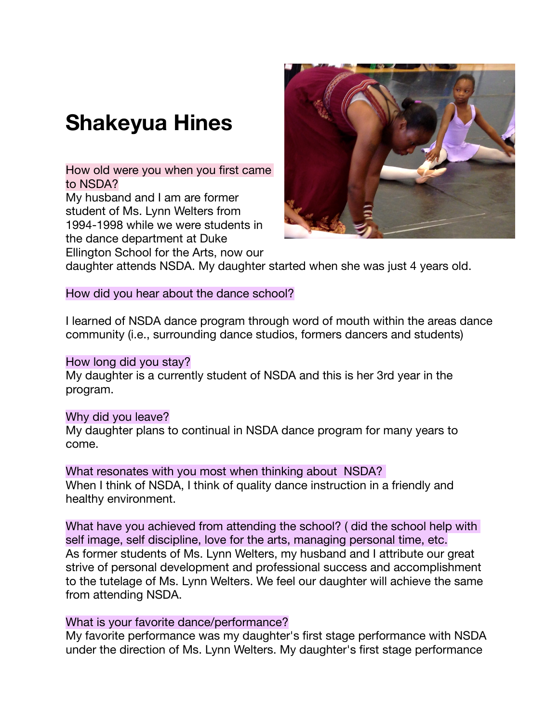# **Shakeyua Hines**

How old were you when you first came to NSDA?

My husband and I am are former student of Ms. Lynn Welters from 1994-1998 while we were students in the dance department at Duke Ellington School for the Arts, now our



daughter attends NSDA. My daughter started when she was just 4 years old.

How did you hear about the dance school?

I learned of NSDA dance program through word of mouth within the areas dance community (i.e., surrounding dance studios, formers dancers and students)

### How long did you stay?

My daughter is a currently student of NSDA and this is her 3rd year in the program.

# Why did you leave?

My daughter plans to continual in NSDA dance program for many years to come.

What resonates with you most when thinking about NSDA? When I think of NSDA, I think of quality dance instruction in a friendly and healthy environment.

What have you achieved from attending the school? ( did the school help with self image, self discipline, love for the arts, managing personal time, etc. As former students of Ms. Lynn Welters, my husband and I attribute our great strive of personal development and professional success and accomplishment to the tutelage of Ms. Lynn Welters. We feel our daughter will achieve the same from attending NSDA.

# What is your favorite dance/performance?

My favorite performance was my daughter's first stage performance with NSDA under the direction of Ms. Lynn Welters. My daughter's first stage performance